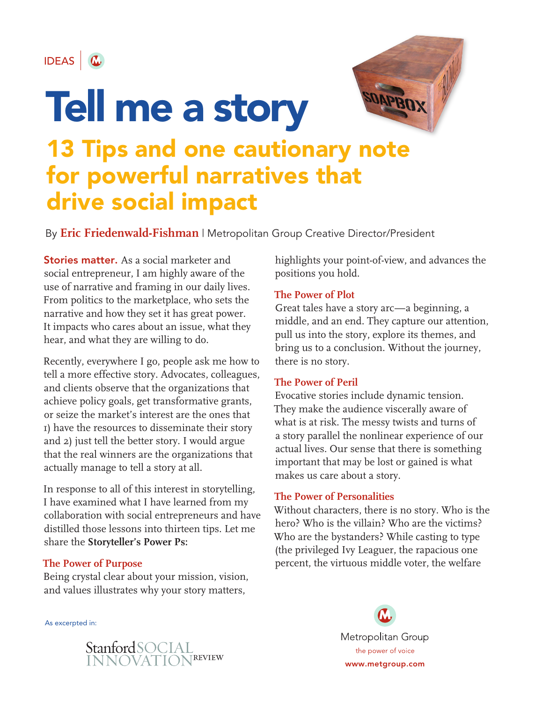

# SOAPBOX Tell me a story 13 Tips and one cautionary note for powerful narratives that drive social impact

By **Eric Friedenwald-Fishman** | Metropolitan Group Creative Director/President

**Stories matter.** As a social marketer and social entrepreneur, I am highly aware of the use of narrative and framing in our daily lives. From politics to the marketplace, who sets the narrative and how they set it has great power. It impacts who cares about an issue, what they hear, and what they are willing to do.

Recently, everywhere I go, people ask me how to tell a more effective story. Advocates, colleagues, and clients observe that the organizations that achieve policy goals, get transformative grants, or seize the market's interest are the ones that 1) have the resources to disseminate their story and 2) just tell the better story. I would argue that the real winners are the organizations that actually manage to tell a story at all.

In response to all of this interest in storytelling, I have examined what I have learned from my collaboration with social entrepreneurs and have distilled those lessons into thirteen tips. Let me share the **Storyteller's Power Ps:**

#### **The Power of Purpose**

Being crystal clear about your mission, vision, and values illustrates why your story matters,

As excerpted in:

highlights your point-of-view, and advances the positions you hold.

#### **The Power of Plot**

Great tales have a story arc—a beginning, a middle, and an end. They capture our attention, pull us into the story, explore its themes, and bring us to a conclusion. Without the journey, there is no story.

#### **The Power of Peril**

Evocative stories include dynamic tension. They make the audience viscerally aware of what is at risk. The messy twists and turns of a story parallel the nonlinear experience of our actual lives. Our sense that there is something important that may be lost or gained is what makes us care about a story.

#### **The Power of Personalities**

Without characters, there is no story. Who is the hero? Who is the villain? Who are the victims? Who are the bystanders? While casting to type (the privileged Ivy Leaguer, the rapacious one percent, the virtuous middle voter, the welfare

> Metropolitan Group the power of voice www.metgroup.com

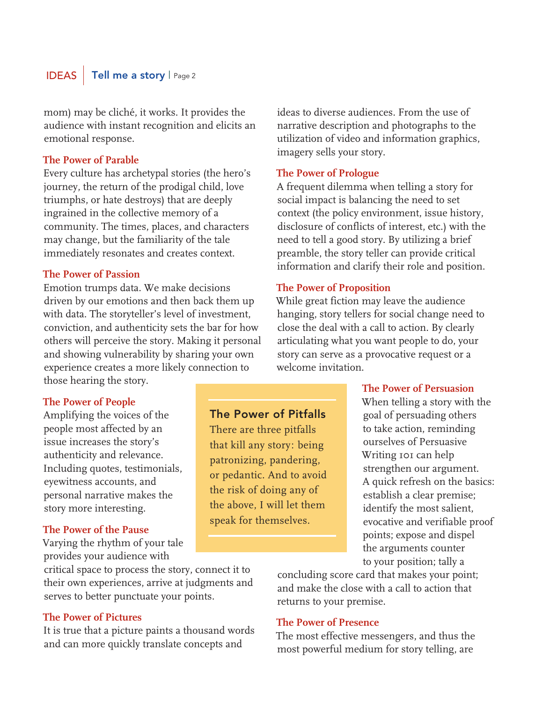## **Tell me a story | Page 2**

mom) may be cliché, it works. It provides the audience with instant recognition and elicits an emotional response.

#### **The Power of Parable**

Every culture has archetypal stories (the hero's journey, the return of the prodigal child, love triumphs, or hate destroys) that are deeply ingrained in the collective memory of a community. The times, places, and characters may change, but the familiarity of the tale immediately resonates and creates context.

#### **The Power of Passion**

Emotion trumps data. We make decisions driven by our emotions and then back them up with data. The storyteller's level of investment, conviction, and authenticity sets the bar for how others will perceive the story. Making it personal and showing vulnerability by sharing your own experience creates a more likely connection to those hearing the story.

#### **The Power of People**

Amplifying the voices of the people most affected by an issue increases the story's authenticity and relevance. Including quotes, testimonials, eyewitness accounts, and personal narrative makes the story more interesting.

#### **The Power of the Pause**

Varying the rhythm of your tale provides your audience with

critical space to process the story, connect it to their own experiences, arrive at judgments and serves to better punctuate your points.

#### **The Power of Pictures**

It is true that a picture paints a thousand words and can more quickly translate concepts and

ideas to diverse audiences. From the use of narrative description and photographs to the utilization of video and information graphics, imagery sells your story.

#### **The Power of Prologue**

A frequent dilemma when telling a story for social impact is balancing the need to set context (the policy environment, issue history, disclosure of conflicts of interest, etc.) with the need to tell a good story. By utilizing a brief preamble, the story teller can provide critical information and clarify their role and position.

#### **The Power of Proposition**

While great fiction may leave the audience hanging, story tellers for social change need to close the deal with a call to action. By clearly articulating what you want people to do, your story can serve as a provocative request or a welcome invitation.

#### **The Power of Persuasion**

When telling a story with the goal of persuading others to take action, reminding ourselves of Persuasive Writing 101 can help strengthen our argument. A quick refresh on the basics: establish a clear premise; identify the most salient, evocative and verifiable proof points; expose and dispel the arguments counter to your position; tally a

concluding score card that makes your point; and make the close with a call to action that returns to your premise.

#### **The Power of Presence**

The most effective messengers, and thus the most powerful medium for story telling, are

## The Power of Pitfalls

There are three pitfalls that kill any story: being patronizing, pandering, or pedantic. And to avoid the risk of doing any of the above, I will let them speak for themselves.